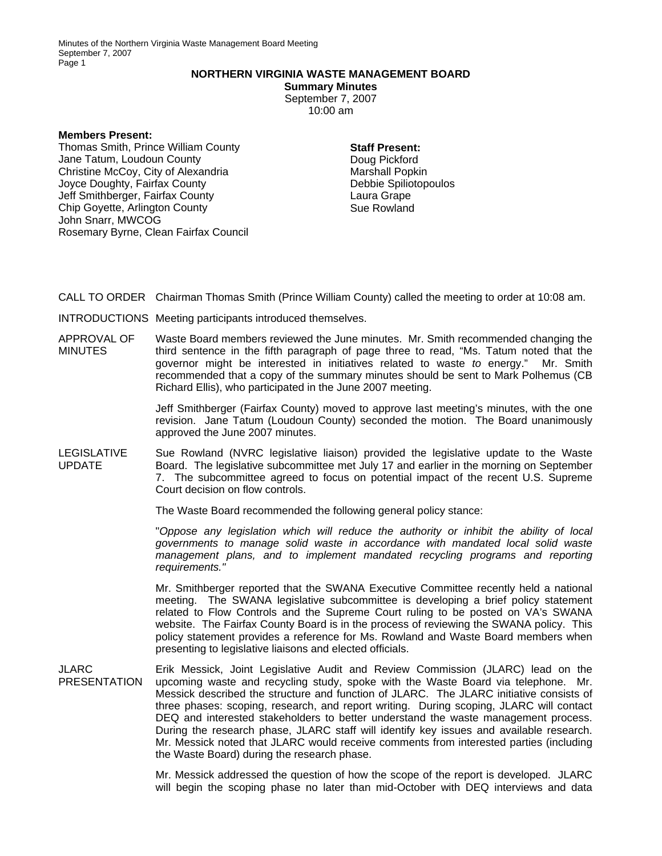Minutes of the Northern Virginia Waste Management Board Meeting September 7, 2007 Page 1

## **NORTHERN VIRGINIA WASTE MANAGEMENT BOARD**

**Summary Minutes**  September 7, 2007 10:00 am

**Members Present:** 

Thomas Smith, Prince William County Jane Tatum, Loudoun County Christine McCoy, City of Alexandria Joyce Doughty, Fairfax County Jeff Smithberger, Fairfax County Chip Goyette, Arlington County John Snarr, MWCOG Rosemary Byrne, Clean Fairfax Council

## **Staff Present:**

Doug Pickford Marshall Popkin Debbie Spiliotopoulos Laura Grape Sue Rowland

CALL TO ORDER Chairman Thomas Smith (Prince William County) called the meeting to order at 10:08 am.

INTRODUCTIONS Meeting participants introduced themselves.

APPROVAL OF **MINUTES** Waste Board members reviewed the June minutes. Mr. Smith recommended changing the third sentence in the fifth paragraph of page three to read, "Ms. Tatum noted that the governor might be interested in initiatives related to waste *to* energy." Mr. Smith recommended that a copy of the summary minutes should be sent to Mark Polhemus (CB Richard Ellis), who participated in the June 2007 meeting.

> Jeff Smithberger (Fairfax County) moved to approve last meeting's minutes, with the one revision. Jane Tatum (Loudoun County) seconded the motion. The Board unanimously approved the June 2007 minutes.

LEGISLATIVE UPDATE Sue Rowland (NVRC legislative liaison) provided the legislative update to the Waste Board. The legislative subcommittee met July 17 and earlier in the morning on September 7. The subcommittee agreed to focus on potential impact of the recent U.S. Supreme Court decision on flow controls.

The Waste Board recommended the following general policy stance:

"*Oppose any legislation which will reduce the authority or inhibit the ability of local governments to manage solid waste in accordance with mandated local solid waste management plans, and to implement mandated recycling programs and reporting requirements."*

Mr. Smithberger reported that the SWANA Executive Committee recently held a national meeting. The SWANA legislative subcommittee is developing a brief policy statement related to Flow Controls and the Supreme Court ruling to be posted on VA's SWANA website. The Fairfax County Board is in the process of reviewing the SWANA policy. This policy statement provides a reference for Ms. Rowland and Waste Board members when presenting to legislative liaisons and elected officials.

JLARC PRESENTATION Erik Messick, Joint Legislative Audit and Review Commission (JLARC) lead on the upcoming waste and recycling study, spoke with the Waste Board via telephone. Mr. Messick described the structure and function of JLARC. The JLARC initiative consists of three phases: scoping, research, and report writing. During scoping, JLARC will contact DEQ and interested stakeholders to better understand the waste management process. During the research phase, JLARC staff will identify key issues and available research. Mr. Messick noted that JLARC would receive comments from interested parties (including the Waste Board) during the research phase.

> Mr. Messick addressed the question of how the scope of the report is developed. JLARC will begin the scoping phase no later than mid-October with DEQ interviews and data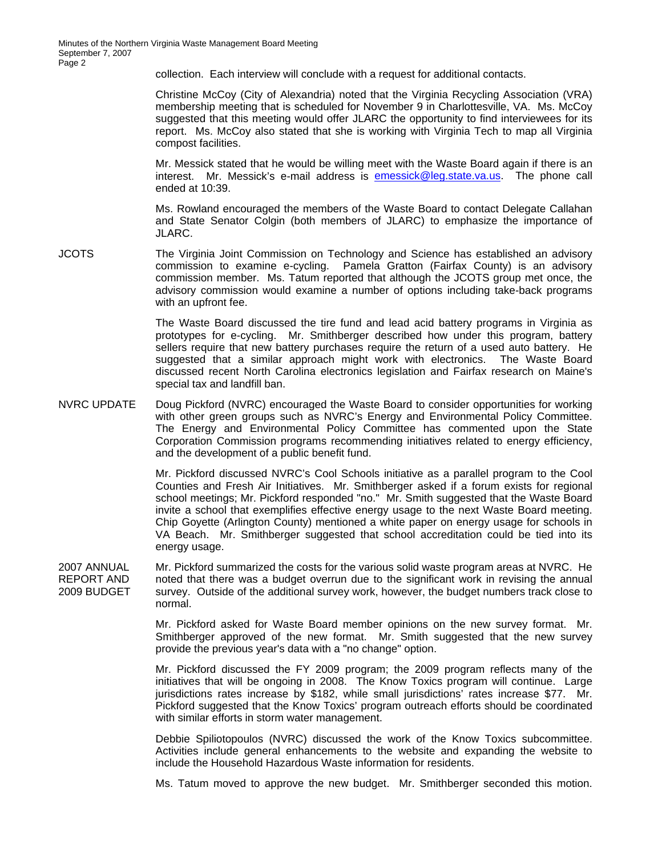collection. Each interview will conclude with a request for additional contacts.

Christine McCoy (City of Alexandria) noted that the Virginia Recycling Association (VRA) membership meeting that is scheduled for November 9 in Charlottesville, VA. Ms. McCoy suggested that this meeting would offer JLARC the opportunity to find interviewees for its report. Ms. McCoy also stated that she is working with Virginia Tech to map all Virginia compost facilities.

Mr. Messick stated that he would be willing meet with the Waste Board again if there is an interest. Mr. Messick's e-mail address is [emessick@leg.state.va.us](mailto:e.messick@leg.state.va.us). The phone call ended at 10:39.

Ms. Rowland encouraged the members of the Waste Board to contact Delegate Callahan and State Senator Colgin (both members of JLARC) to emphasize the importance of JLARC.

JCOTS The Virginia Joint Commission on Technology and Science has established an advisory commission to examine e-cycling. Pamela Gratton (Fairfax County) is an advisory commission member. Ms. Tatum reported that although the JCOTS group met once, the advisory commission would examine a number of options including take-back programs with an upfront fee.

> The Waste Board discussed the tire fund and lead acid battery programs in Virginia as prototypes for e-cycling. Mr. Smithberger described how under this program, battery sellers require that new battery purchases require the return of a used auto battery. He suggested that a similar approach might work with electronics. The Waste Board discussed recent North Carolina electronics legislation and Fairfax research on Maine's special tax and landfill ban.

NVRC UPDATE Doug Pickford (NVRC) encouraged the Waste Board to consider opportunities for working with other green groups such as NVRC's Energy and Environmental Policy Committee. The Energy and Environmental Policy Committee has commented upon the State Corporation Commission programs recommending initiatives related to energy efficiency, and the development of a public benefit fund.

> Mr. Pickford discussed NVRC's Cool Schools initiative as a parallel program to the Cool Counties and Fresh Air Initiatives. Mr. Smithberger asked if a forum exists for regional school meetings; Mr. Pickford responded "no." Mr. Smith suggested that the Waste Board invite a school that exemplifies effective energy usage to the next Waste Board meeting. Chip Goyette (Arlington County) mentioned a white paper on energy usage for schools in VA Beach. Mr. Smithberger suggested that school accreditation could be tied into its energy usage.

2007 ANNUAL REPORT AND 2009 BUDGET Mr. Pickford summarized the costs for the various solid waste program areas at NVRC. He noted that there was a budget overrun due to the significant work in revising the annual survey. Outside of the additional survey work, however, the budget numbers track close to normal.

> Mr. Pickford asked for Waste Board member opinions on the new survey format. Mr. Smithberger approved of the new format. Mr. Smith suggested that the new survey provide the previous year's data with a "no change" option.

> Mr. Pickford discussed the FY 2009 program; the 2009 program reflects many of the initiatives that will be ongoing in 2008. The Know Toxics program will continue. Large jurisdictions rates increase by \$182, while small jurisdictions' rates increase \$77. Mr. Pickford suggested that the Know Toxics' program outreach efforts should be coordinated with similar efforts in storm water management.

> Debbie Spiliotopoulos (NVRC) discussed the work of the Know Toxics subcommittee. Activities include general enhancements to the website and expanding the website to include the Household Hazardous Waste information for residents.

> Ms. Tatum moved to approve the new budget. Mr. Smithberger seconded this motion.